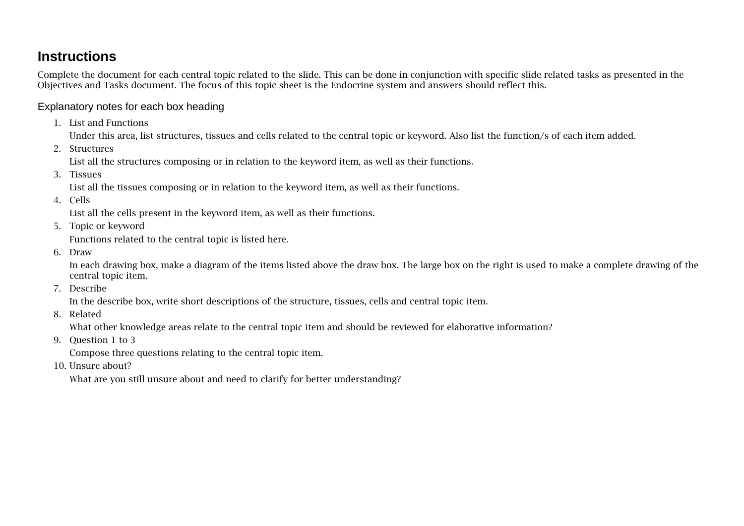## **Instructions**

Complete the document for each central topic related to the slide. This can be done in conjunction with specific slide related tasks as presented in the Objectives and Tasks document. The focus of this topic sheet is the Endocrine system and answers should reflect this.

## Explanatory notes for each box heading

1. List and Functions

Under this area, list structures, tissues and cells related to the central topic or keyword. Also list the function/s of each item added.

2. Structures

List all the structures composing or in relation to the keyword item, as well as their functions.

3. Tissues

List all the tissues composing or in relation to the keyword item, as well as their functions.

4. Cells

List all the cells present in the keyword item, as well as their functions.

5. Topic or keyword

Functions related to the central topic is listed here.

6. Draw

In each drawing box, make a diagram of the items listed above the draw box. The large box on the right is used to make a complete drawing of the central topic item.

7. Describe

In the describe box, write short descriptions of the structure, tissues, cells and central topic item.

8. Related

What other knowledge areas relate to the central topic item and should be reviewed for elaborative information?

9. Question 1 to 3

Compose three questions relating to the central topic item.

10. Unsure about?

What are you still unsure about and need to clarify for better understanding?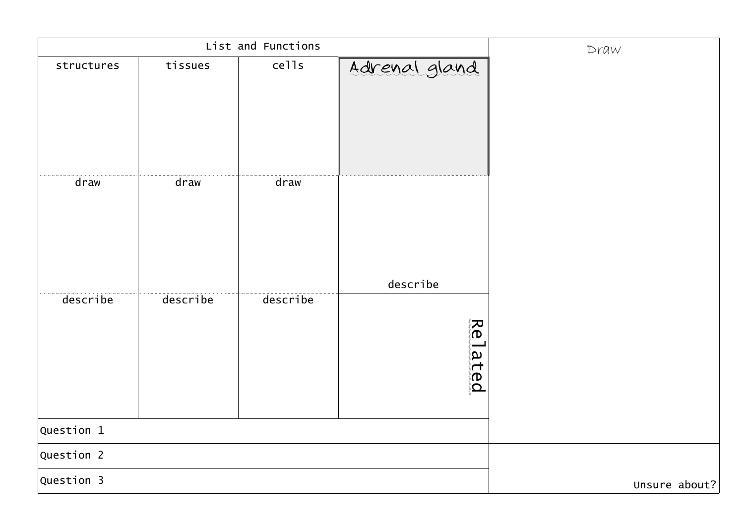|              | List and Functions | Draw     |                       |               |
|--------------|--------------------|----------|-----------------------|---------------|
| structures   | tissues            | cells    | Adrenal gland         |               |
| draw         | draw               | draw     | describe              |               |
| describe     | describe           | describe | ႜ႓ၟ<br>lated<br>Tated |               |
| Question $1$ |                    |          |                       |               |
| Question 2   |                    |          |                       |               |
| Question 3   |                    |          |                       | Unsure about? |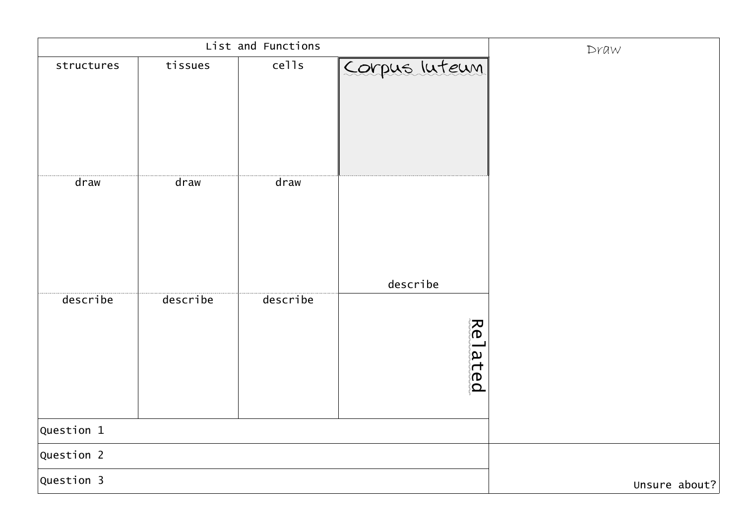|              | List and Functions | Draw          |               |  |
|--------------|--------------------|---------------|---------------|--|
| structures   | tissues            | cells         | Corpus luteum |  |
|              |                    |               |               |  |
|              |                    |               |               |  |
|              |                    |               |               |  |
| draw         | draw               | draw          |               |  |
|              |                    |               |               |  |
|              |                    |               |               |  |
|              |                    |               |               |  |
|              |                    |               | describe      |  |
| describe     | describe           | describe      |               |  |
|              |                    |               | 。<br>◎<br>◎   |  |
|              |                    |               |               |  |
|              |                    |               | lated<br>Tete |  |
|              |                    |               |               |  |
| Question $1$ |                    |               |               |  |
| Question 2   |                    |               |               |  |
| Question 3   |                    | Unsure about? |               |  |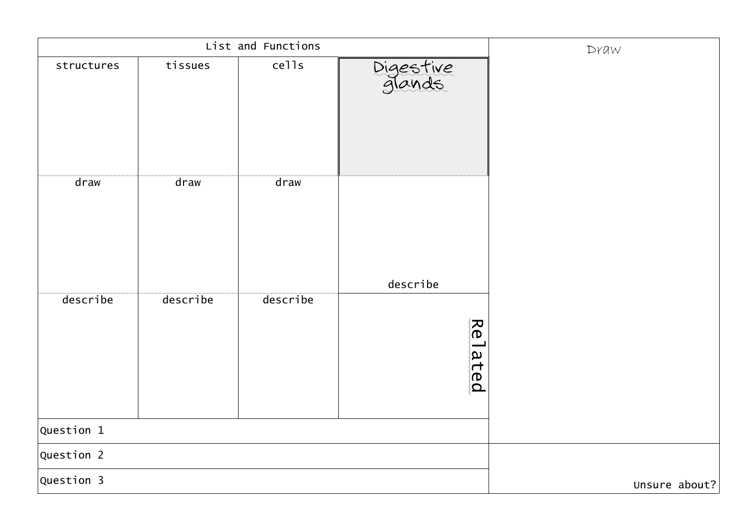|            |          | List and Functions |                        | Draw          |
|------------|----------|--------------------|------------------------|---------------|
| structures | tissues  | cells              | Digestive<br>glands    |               |
| draw       | draw     | draw               |                        |               |
|            |          |                    | describe               |               |
| describe   | describe | describe           | え<br>の<br>Tated<br>Ted |               |
| Question 1 |          |                    |                        |               |
| Question 2 |          |                    |                        |               |
| Question 3 |          |                    |                        | Unsure about? |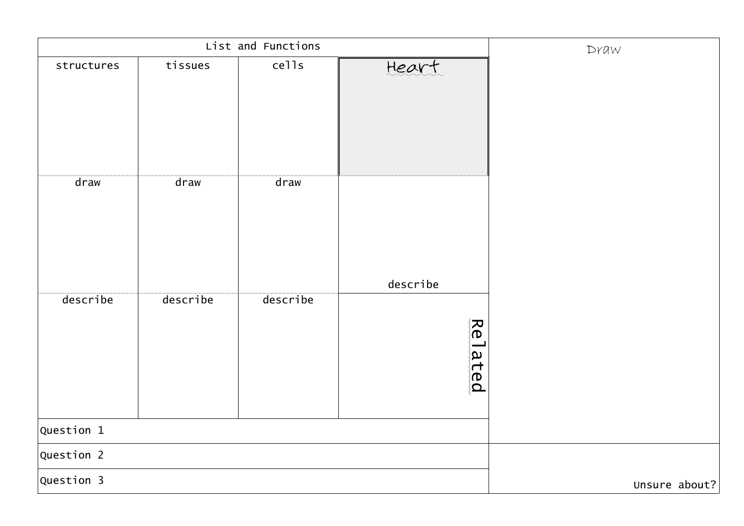|              | List and Functions | Draw     |                                         |               |
|--------------|--------------------|----------|-----------------------------------------|---------------|
| structures   | tissues            | cells    | Heart                                   |               |
| draw         | draw               | draw     |                                         |               |
| describe     | describe           | describe | describe<br>、<br>の<br>、<br>Tated<br>Ted |               |
| Question $1$ |                    |          |                                         |               |
| Question 2   |                    |          |                                         |               |
| Question 3   |                    |          |                                         | Unsure about? |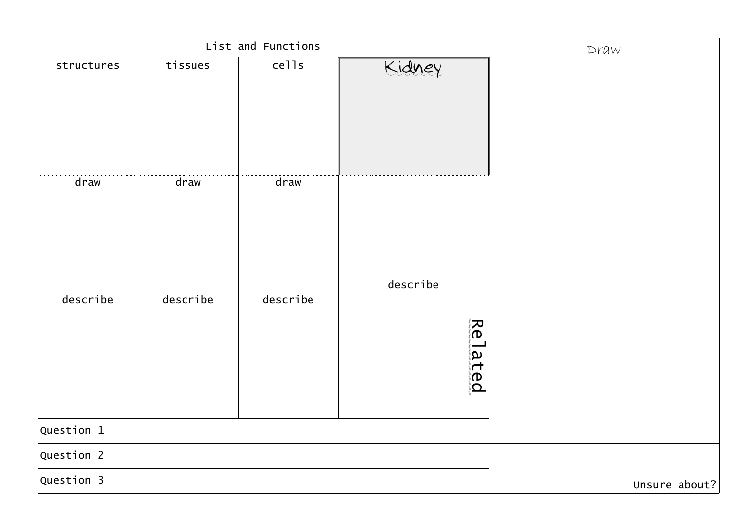|            | List and Functions | Draw     |                                                                                   |               |
|------------|--------------------|----------|-----------------------------------------------------------------------------------|---------------|
| structures | tissues            | cells    | Kidney                                                                            |               |
| draw       | draw               | draw     |                                                                                   |               |
|            |                    |          | describe                                                                          |               |
| describe   | describe           | describe | えいかく ぶんじょう はんしゃく はんじょう しょうかい しゅうしょう こうしゃく こうしゃく しゅうしょう しょうせいしょう<br>lated<br>Iated |               |
| Question 1 |                    |          |                                                                                   |               |
| Question 2 |                    |          |                                                                                   |               |
| Question 3 |                    |          |                                                                                   | Unsure about? |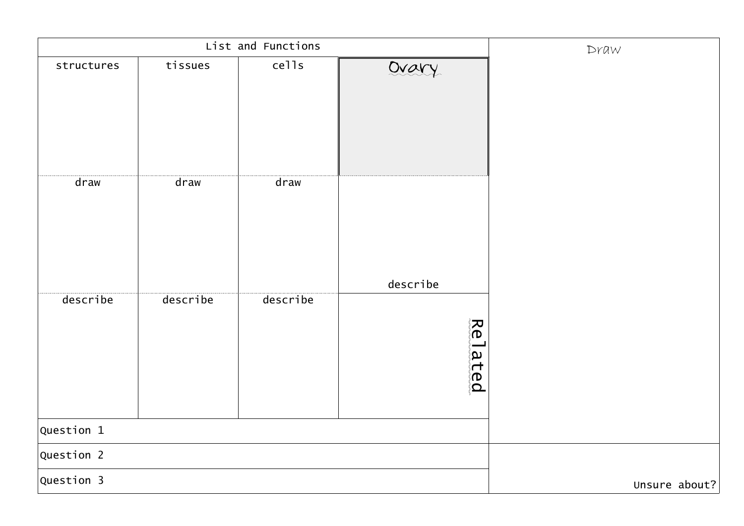|              | List and Functions | Draw     |                               |               |
|--------------|--------------------|----------|-------------------------------|---------------|
| structures   | tissues            | cells    | Ovary                         |               |
| draw         | draw               | draw     | describe                      |               |
| describe     | describe           | describe | 、<br>の<br>、<br>lated<br>Tated |               |
| Question $1$ |                    |          |                               |               |
| Question 2   |                    |          |                               |               |
| Question 3   |                    |          |                               | Unsure about? |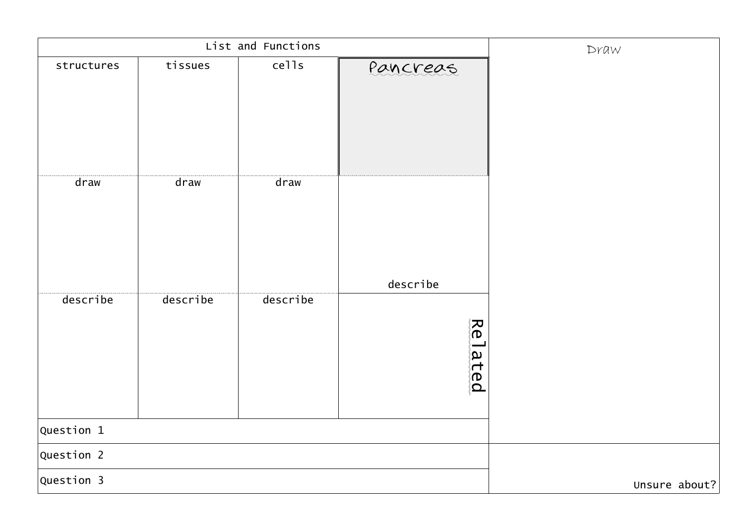|            |          | List and Functions |                         | Draw          |
|------------|----------|--------------------|-------------------------|---------------|
| structures | tissues  | cells              | Pancreas                |               |
| draw       | draw     | draw               |                         |               |
| describe   | describe | describe           | describe<br>ゑ<br>◎<br>◎ |               |
| Question 1 |          |                    | Tated<br>Teted          |               |
| Question 2 |          |                    |                         |               |
| Question 3 |          |                    |                         | Unsure about? |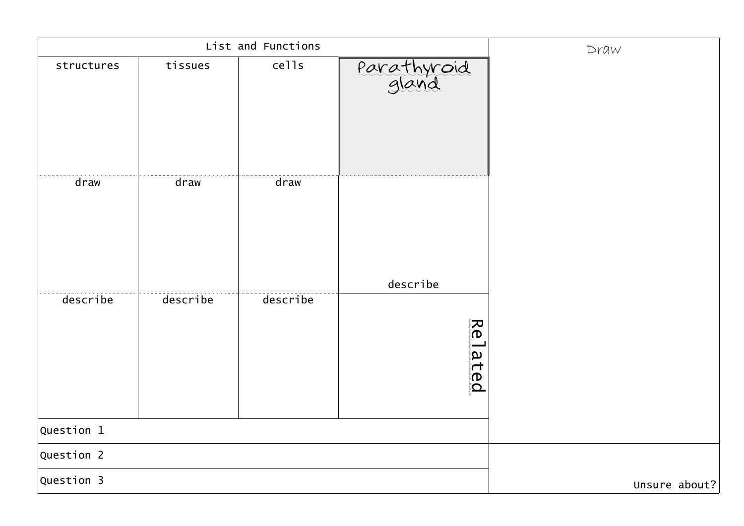|              |          | List and Functions |                                           | Draw          |
|--------------|----------|--------------------|-------------------------------------------|---------------|
| structures   | tissues  | cells              | Parathyroid                               |               |
| draw         | draw     | draw               |                                           |               |
| describe     | describe | describe           | describe<br>。<br>◎<br>◎<br>lated<br>Teted |               |
| Question $1$ |          |                    |                                           |               |
| Question 2   |          |                    |                                           |               |
| Question 3   |          |                    |                                           | Unsure about? |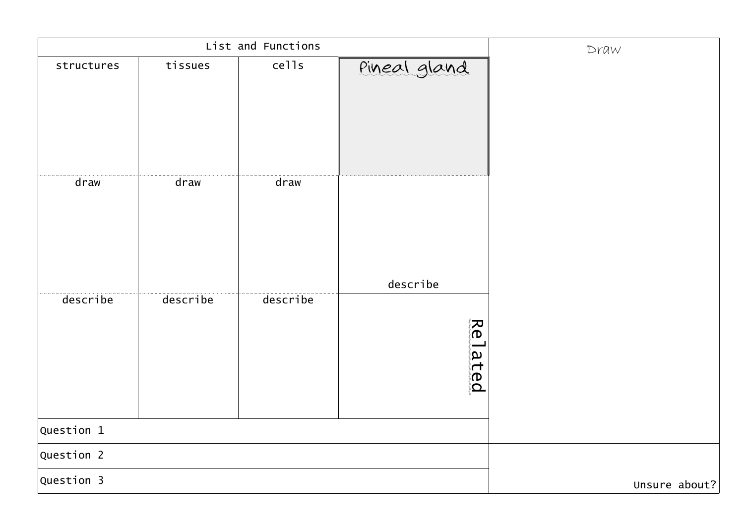|              | List and Functions | Draw     |                   |               |
|--------------|--------------------|----------|-------------------|---------------|
| structures   | tissues            | cells    | Pineal gland      |               |
| draw         | draw               | draw     | describe          |               |
| describe     | describe           | describe | え<br>の<br>la ted. |               |
| Question $1$ |                    |          |                   |               |
| Question 2   |                    |          |                   |               |
| Question 3   |                    |          |                   | Unsure about? |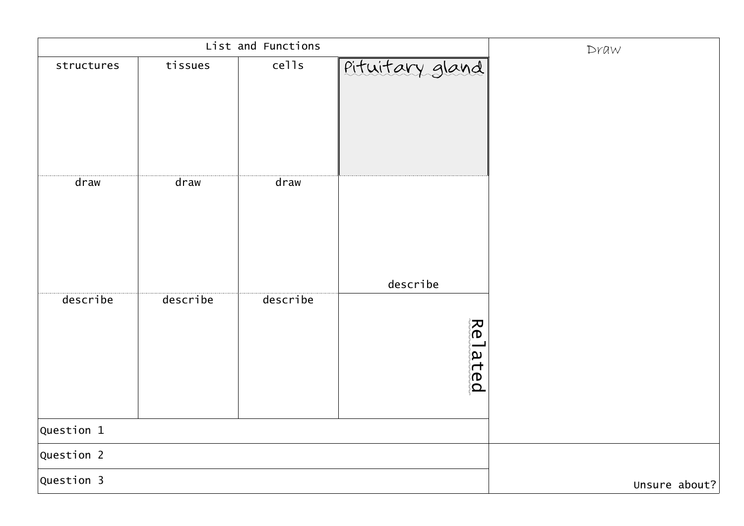|            | List and Functions | Draw          |                 |  |
|------------|--------------------|---------------|-----------------|--|
| structures | tissues            | cells         | Pituitary gland |  |
|            |                    |               |                 |  |
|            |                    |               |                 |  |
|            |                    |               |                 |  |
|            |                    |               |                 |  |
| draw       | draw               | draw          |                 |  |
|            |                    |               |                 |  |
|            |                    |               |                 |  |
|            |                    |               |                 |  |
|            |                    |               | describe        |  |
| describe   | describe           | describe      |                 |  |
|            |                    |               | え<br>の。         |  |
|            |                    |               |                 |  |
|            |                    |               | lated<br>Ted    |  |
|            |                    |               |                 |  |
| Question 1 |                    |               |                 |  |
| Question 2 |                    |               |                 |  |
| Question 3 |                    | Unsure about? |                 |  |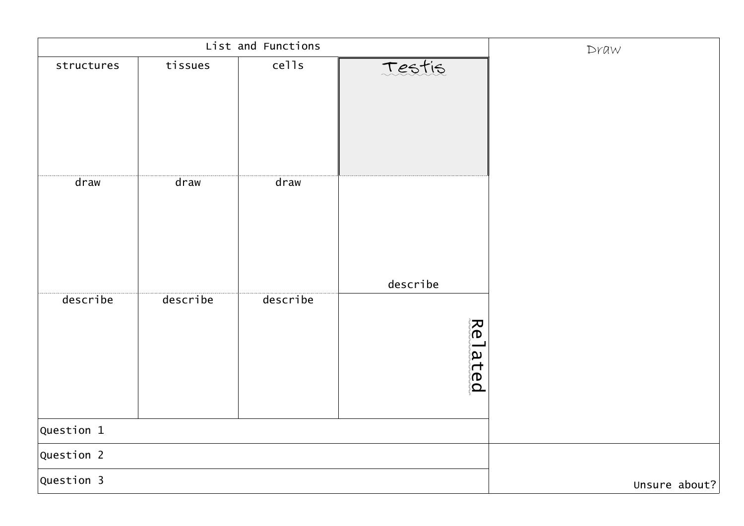|            |          | List and Functions |                                           | Draw |
|------------|----------|--------------------|-------------------------------------------|------|
| structures | tissues  | cells              | Testis                                    |      |
| draw       | draw     | draw               |                                           |      |
| describe   | describe | describe           | describe<br>ゑ<br>◎<br>◎<br>lated<br>Tated |      |
| Question 1 |          |                    |                                           |      |
| Question 2 |          |                    |                                           |      |
| Question 3 |          | Unsure about?      |                                           |      |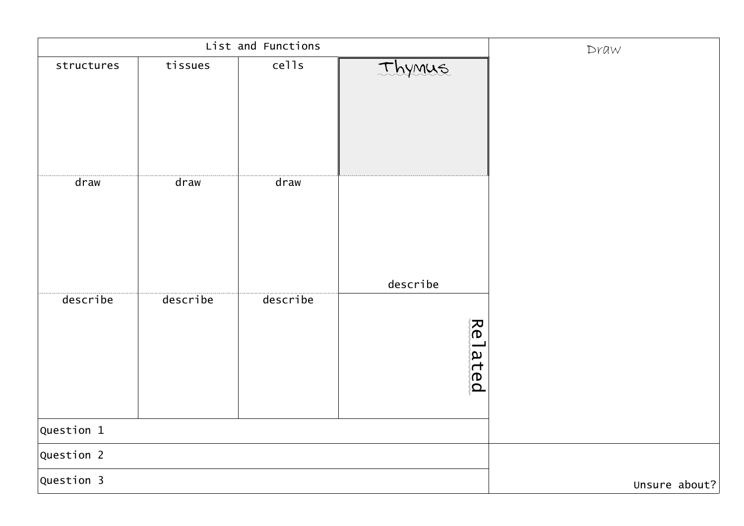|            |          | List and Functions |                         | Draw          |
|------------|----------|--------------------|-------------------------|---------------|
| structures | tissues  | cells              | Ihymus                  |               |
| draw       | draw     | draw               | describe                |               |
| describe   | describe | describe           | 、<br>の。<br>(の)<br>lated |               |
| Question 1 |          |                    |                         |               |
| Question 2 |          |                    |                         |               |
| Question 3 |          |                    |                         | Unsure about? |